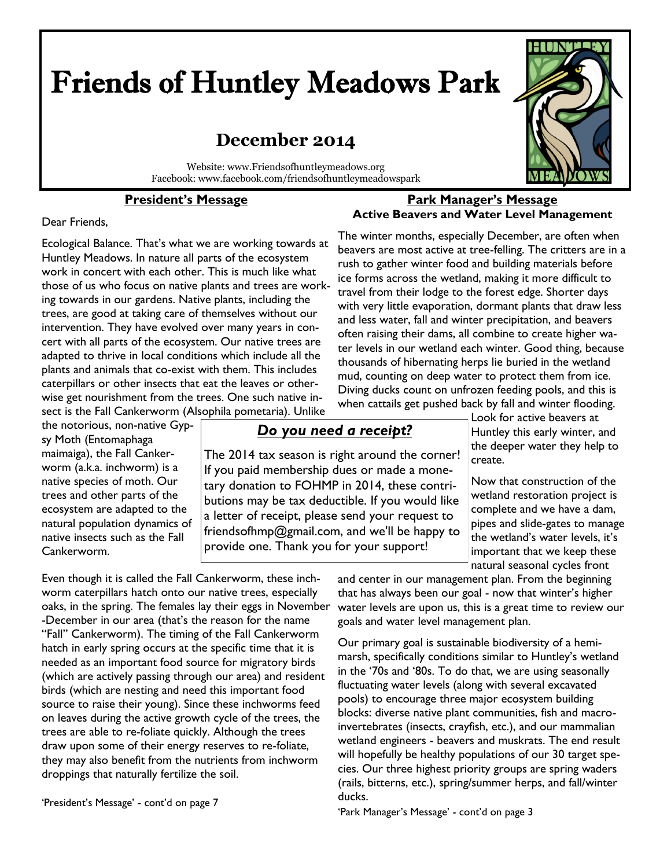# Friends of Huntley Meadows Park

# **December 2014**

Website: www.Friendsofhuntleymeadows.org Facebook: www.facebook.com/friendsofhuntleymeadowspark

# **President's Message**



#### Dear Friends,

Ecological Balance. That's what we are working towards at Huntley Meadows. In nature all parts of the ecosystem work in concert with each other. This is much like what those of us who focus on native plants and trees are working towards in our gardens. Native plants, including the trees, are good at taking care of themselves without our intervention. They have evolved over many years in concert with all parts of the ecosystem. Our native trees are adapted to thrive in local conditions which include all the plants and animals that co-exist with them. This includes caterpillars or other insects that eat the leaves or otherwise get nourishment from the trees. One such native insect is the Fall Cankerworm (Alsophila pometaria). Unlike

the notorious, non-native Gypsy Moth (Entomaphaga maimaiga), the Fall Cankerworm (a.k.a. inchworm) is a native species of moth. Our trees and other parts of the ecosystem are adapted to the natural population dynamics of native insects such as the Fall Cankerworm.

# *Do you need a receipt?*

The 2014 tax season is right around the corner! If you paid membership dues or made a monetary donation to FOHMP in 2014, these contributions may be tax deductible. If you would like a letter of receipt, please send your request to friendsofhmp@gmail.com, and we'll be happy to provide one. Thank you for your support!

when cattails get pushed back by fall and winter flooding. Look for active beavers at Huntley this early winter, and the deeper water they help to create.

> Now that construction of the wetland restoration project is complete and we have a dam, pipes and slide-gates to manage the wetland's water levels, it's important that we keep these natural seasonal cycles front

Even though it is called the Fall Cankerworm, these inchworm caterpillars hatch onto our native trees, especially oaks, in the spring. The females lay their eggs in November -December in our area (that's the reason for the name "Fall" Cankerworm). The timing of the Fall Cankerworm hatch in early spring occurs at the specific time that it is needed as an important food source for migratory birds (which are actively passing through our area) and resident birds (which are nesting and need this important food source to raise their young). Since these inchworms feed on leaves during the active growth cycle of the trees, the trees are able to re-foliate quickly. Although the trees draw upon some of their energy reserves to re-foliate, they may also benefit from the nutrients from inchworm droppings that naturally fertilize the soil.

'President's Message' - cont'd on page 7

and center in our management plan. From the beginning that has always been our goal - now that winter's higher water levels are upon us, this is a great time to review our goals and water level management plan.

Our primary goal is sustainable biodiversity of a hemimarsh, specifically conditions similar to Huntley's wetland in the '70s and '80s. To do that, we are using seasonally fluctuating water levels (along with several excavated pools) to encourage three major ecosystem building blocks: diverse native plant communities, fish and macroinvertebrates (insects, crayfish, etc.), and our mammalian wetland engineers - beavers and muskrats. The end result will hopefully be healthy populations of our 30 target species. Our three highest priority groups are spring waders (rails, bitterns, etc.), spring/summer herps, and fall/winter ducks.

'Park Manager's Message' - cont'd on page 3

#### **Park Manager's Message Active Beavers and Water Level Management**

The winter months, especially December, are often when beavers are most active at tree-felling. The critters are in a rush to gather winter food and building materials before ice forms across the wetland, making it more difficult to travel from their lodge to the forest edge. Shorter days with very little evaporation, dormant plants that draw less and less water, fall and winter precipitation, and beavers often raising their dams, all combine to create higher water levels in our wetland each winter. Good thing, because thousands of hibernating herps lie buried in the wetland mud, counting on deep water to protect them from ice. Diving ducks count on unfrozen feeding pools, and this is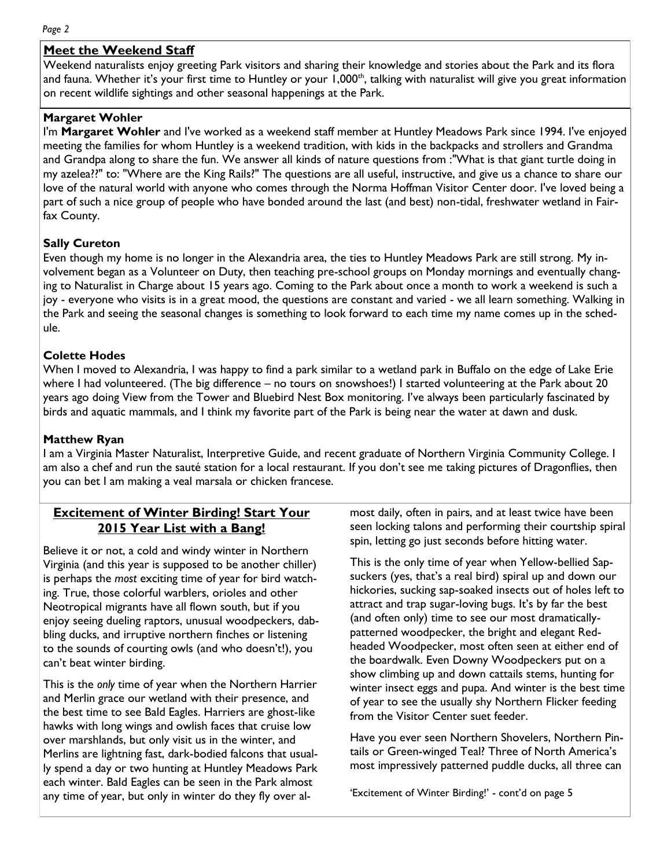#### *Page 2*

# **Meet the Weekend Staff**

Weekend naturalists enjoy greeting Park visitors and sharing their knowledge and stories about the Park and its flora and fauna. Whether it's your first time to Huntley or your 1,000<sup>th</sup>, talking with naturalist will give you great information on recent wildlife sightings and other seasonal happenings at the Park.

# **Margaret Wohler**

I'm **Margaret Wohler** and I've worked as a weekend staff member at Huntley Meadows Park since 1994. I've enjoyed meeting the families for whom Huntley is a weekend tradition, with kids in the backpacks and strollers and Grandma and Grandpa along to share the fun. We answer all kinds of nature questions from :"What is that giant turtle doing in my azelea??" to: "Where are the King Rails?" The questions are all useful, instructive, and give us a chance to share our love of the natural world with anyone who comes through the Norma Hoffman Visitor Center door. I've loved being a part of such a nice group of people who have bonded around the last (and best) non-tidal, freshwater wetland in Fairfax County.

# **Sally Cureton**

Even though my home is no longer in the Alexandria area, the ties to Huntley Meadows Park are still strong. My involvement began as a Volunteer on Duty, then teaching pre-school groups on Monday mornings and eventually changing to Naturalist in Charge about 15 years ago. Coming to the Park about once a month to work a weekend is such a joy - everyone who visits is in a great mood, the questions are constant and varied - we all learn something. Walking in the Park and seeing the seasonal changes is something to look forward to each time my name comes up in the schedule.

# **Colette Hodes**

When I moved to Alexandria, I was happy to find a park similar to a wetland park in Buffalo on the edge of Lake Erie where I had volunteered. (The big difference – no tours on snowshoes!) I started volunteering at the Park about 20 years ago doing View from the Tower and Bluebird Nest Box monitoring. I've always been particularly fascinated by birds and aquatic mammals, and I think my favorite part of the Park is being near the water at dawn and dusk.

# **Matthew Ryan**

I am a Virginia Master Naturalist, Interpretive Guide, and recent graduate of Northern Virginia Community College. I am also a chef and run the sauté station for a local restaurant. If you don't see me taking pictures of Dragonflies, then you can bet I am making a veal marsala or chicken francese.

# **Excitement of Winter Birding! Start Your 2015 Year List with a Bang!**

Believe it or not, a cold and windy winter in Northern Virginia (and this year is supposed to be another chiller) is perhaps the *most* exciting time of year for bird watching. True, those colorful warblers, orioles and other Neotropical migrants have all flown south, but if you enjoy seeing dueling raptors, unusual woodpeckers, dabbling ducks, and irruptive northern finches or listening to the sounds of courting owls (and who doesn't!), you can't beat winter birding.

This is the *only* time of year when the Northern Harrier and Merlin grace our wetland with their presence, and the best time to see Bald Eagles. Harriers are ghost-like hawks with long wings and owlish faces that cruise low over marshlands, but only visit us in the winter, and Merlins are lightning fast, dark-bodied falcons that usually spend a day or two hunting at Huntley Meadows Park each winter. Bald Eagles can be seen in the Park almost any time of year, but only in winter do they fly over almost daily, often in pairs, and at least twice have been seen locking talons and performing their courtship spiral spin, letting go just seconds before hitting water.

This is the only time of year when Yellow-bellied Sapsuckers (yes, that's a real bird) spiral up and down our hickories, sucking sap-soaked insects out of holes left to attract and trap sugar-loving bugs. It's by far the best (and often only) time to see our most dramaticallypatterned woodpecker, the bright and elegant Redheaded Woodpecker, most often seen at either end of the boardwalk. Even Downy Woodpeckers put on a show climbing up and down cattails stems, hunting for winter insect eggs and pupa. And winter is the best time of year to see the usually shy Northern Flicker feeding from the Visitor Center suet feeder.

Have you ever seen Northern Shovelers, Northern Pintails or Green-winged Teal? Three of North America's most impressively patterned puddle ducks, all three can

'Excitement of Winter Birding!' - cont'd on page 5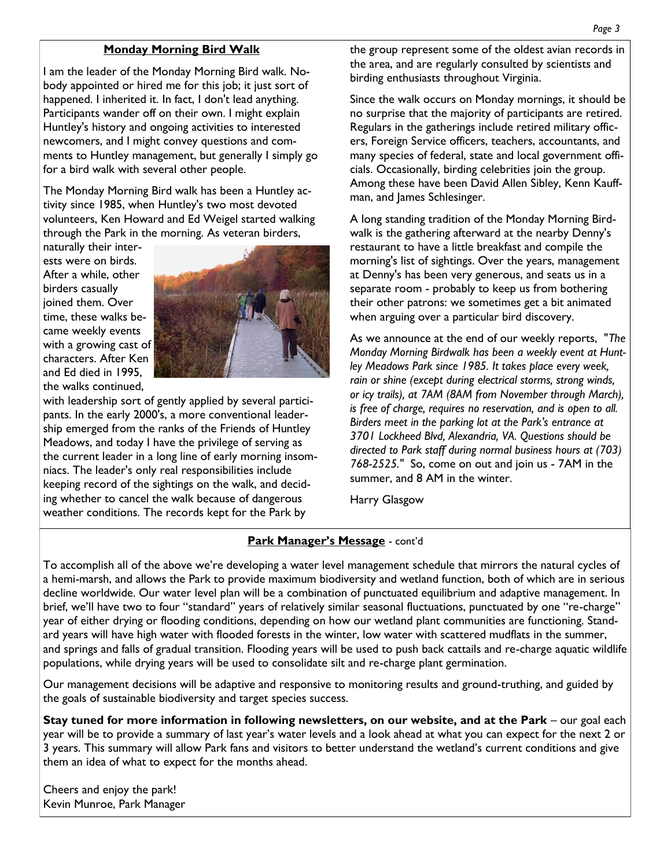# **Monday Morning Bird Walk**

I am the leader of the Monday Morning Bird walk. Nobody appointed or hired me for this job; it just sort of happened. I inherited it. In fact, I don't lead anything. Participants wander off on their own. I might explain Huntley's history and ongoing activities to interested newcomers, and I might convey questions and comments to Huntley management, but generally I simply go for a bird walk with several other people.

The Monday Morning Bird walk has been a Huntley activity since 1985, when Huntley's two most devoted volunteers, Ken Howard and Ed Weigel started walking through the Park in the morning. As veteran birders,

naturally their interests were on birds. After a while, other birders casually joined them. Over time, these walks became weekly events with a growing cast of characters. After Ken and Ed died in 1995, the walks continued,



with leadership sort of gently applied by several participants. In the early 2000's, a more conventional leadership emerged from the ranks of the Friends of Huntley Meadows, and today I have the privilege of serving as the current leader in a long line of early morning insomniacs. The leader's only real responsibilities include keeping record of the sightings on the walk, and deciding whether to cancel the walk because of dangerous weather conditions. The records kept for the Park by

the group represent some of the oldest avian records in the area, and are regularly consulted by scientists and birding enthusiasts throughout Virginia.

Since the walk occurs on Monday mornings, it should be no surprise that the majority of participants are retired. Regulars in the gatherings include retired military officers, Foreign Service officers, teachers, accountants, and many species of federal, state and local government officials. Occasionally, birding celebrities join the group. Among these have been David Allen Sibley, Kenn Kauffman, and James Schlesinger.

A long standing tradition of the Monday Morning Birdwalk is the gathering afterward at the nearby Denny's restaurant to have a little breakfast and compile the morning's list of sightings. Over the years, management at Denny's has been very generous, and seats us in a separate room - probably to keep us from bothering their other patrons: we sometimes get a bit animated when arguing over a particular bird discovery.

As we announce at the end of our weekly reports, "*The Monday Morning Birdwalk has been a weekly event at Huntley Meadows Park since 1985. It takes place every week, rain or shine (except during electrical storms, strong winds, or icy trails), at 7AM (8AM from November through March), is free of charge, requires no reservation, and is open to all. Birders meet in the parking lot at the Park's entrance at 3701 Lockheed Blvd, Alexandria, VA. Questions should be directed to Park staff during normal business hours at (703) 768-2525."* So, come on out and join us - 7AM in the summer, and 8 AM in the winter.

Harry Glasgow

# **Park Manager's Message** - cont'd

To accomplish all of the above we're developing a water level management schedule that mirrors the natural cycles of a hemi-marsh, and allows the Park to provide maximum biodiversity and wetland function, both of which are in serious decline worldwide. Our water level plan will be a combination of punctuated equilibrium and adaptive management. In brief, we'll have two to four "standard" years of relatively similar seasonal fluctuations, punctuated by one "re-charge" year of either drying or flooding conditions, depending on how our wetland plant communities are functioning. Standard years will have high water with flooded forests in the winter, low water with scattered mudflats in the summer, and springs and falls of gradual transition. Flooding years will be used to push back cattails and re-charge aquatic wildlife populations, while drying years will be used to consolidate silt and re-charge plant germination.

Our management decisions will be adaptive and responsive to monitoring results and ground-truthing, and guided by the goals of sustainable biodiversity and target species success.

**Stay tuned for more information in following newsletters, on our website, and at the Park** – our goal each year will be to provide a summary of last year's water levels and a look ahead at what you can expect for the next 2 or 3 years. This summary will allow Park fans and visitors to better understand the wetland's current conditions and give them an idea of what to expect for the months ahead.

Cheers and enjoy the park! Kevin Munroe, Park Manager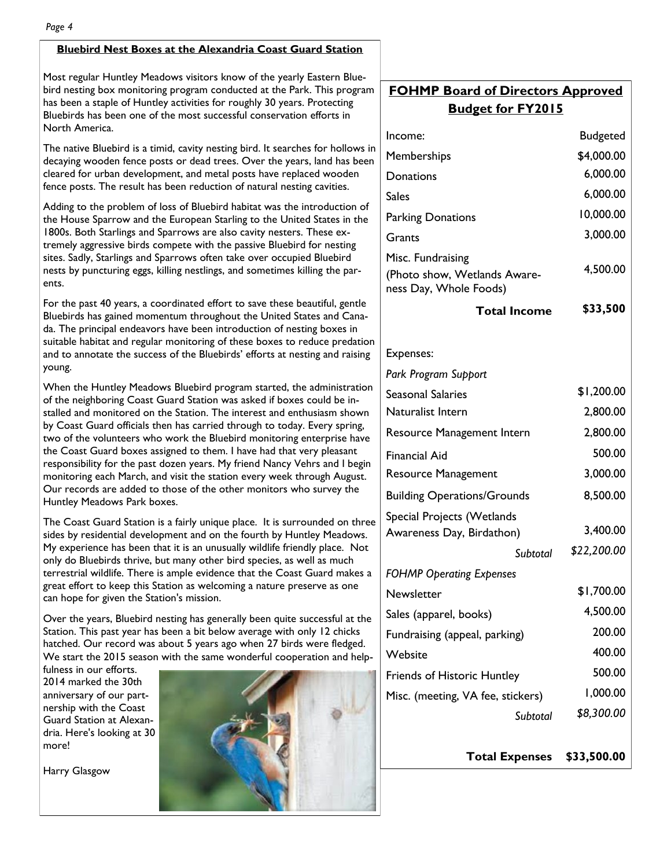#### **Bluebird Nest Boxes at the Alexandria Coast Guard Station**

Most regular Huntley Meadows visitors know of the yearly Eastern Bluebird nesting box monitoring program conducted at the Park. This program has been a staple of Huntley activities for roughly 30 years. Protecting Bluebirds has been one of the most successful conservation efforts in North America.

The native Bluebird is a timid, cavity nesting bird. It searches for hollows in decaying wooden fence posts or dead trees. Over the years, land has been cleared for urban development, and metal posts have replaced wooden fence posts. The result has been reduction of natural nesting cavities.

Adding to the problem of loss of Bluebird habitat was the introduction of the House Sparrow and the European Starling to the United States in the 1800s. Both Starlings and Sparrows are also cavity nesters. These extremely aggressive birds compete with the passive Bluebird for nesting sites. Sadly, Starlings and Sparrows often take over occupied Bluebird nests by puncturing eggs, killing nestlings, and sometimes killing the parents.

For the past 40 years, a coordinated effort to save these beautiful, gentle Bluebirds has gained momentum throughout the United States and Canada. The principal endeavors have been introduction of nesting boxes in suitable habitat and regular monitoring of these boxes to reduce predation and to annotate the success of the Bluebirds' efforts at nesting and raising young.

When the Huntley Meadows Bluebird program started, the administration of the neighboring Coast Guard Station was asked if boxes could be installed and monitored on the Station. The interest and enthusiasm shown by Coast Guard officials then has carried through to today. Every spring, two of the volunteers who work the Bluebird monitoring enterprise have the Coast Guard boxes assigned to them. I have had that very pleasant responsibility for the past dozen years. My friend Nancy Vehrs and I begin monitoring each March, and visit the station every week through August. Our records are added to those of the other monitors who survey the Huntley Meadows Park boxes.

The Coast Guard Station is a fairly unique place. It is surrounded on three sides by residential development and on the fourth by Huntley Meadows. My experience has been that it is an unusually wildlife friendly place. Not only do Bluebirds thrive, but many other bird species, as well as much terrestrial wildlife. There is ample evidence that the Coast Guard makes a great effort to keep this Station as welcoming a nature preserve as one can hope for given the Station's mission.

Over the years, Bluebird nesting has generally been quite successful at the Station. This past year has been a bit below average with only 12 chicks hatched. Our record was about 5 years ago when 27 birds were fledged. We start the 2015 season with the same wonderful cooperation and help-

fulness in our efforts. 2014 marked the 30th anniversary of our partnership with the Coast Guard Station at Alexandria. Here's looking at 30 more!

Harry Glasgow



# **FOHMP Board of Directors Approved Budget for FY2015**

| <b>Budgeted</b> |
|-----------------|
| \$4,000.00      |
| 6,000.00        |
| 6,000.00        |
| 10,000.00       |
| 3,000.00        |
| 4,500.00        |
| \$33,500        |
|                 |
|                 |
| \$1,200.00      |
| 2,800.00        |
| 2,800.00        |
| 500.00          |
| 3,000.00        |
| 8,500.00        |
|                 |
| 3,400.00        |
| \$22,200.00     |
|                 |
| \$1,700.00      |
| 4,500.00        |
| 200.00          |
| 400.00          |
| 500.00          |
| 1,000.00        |
| \$8,300.00      |
|                 |

**Total Expenses \$33,500.00**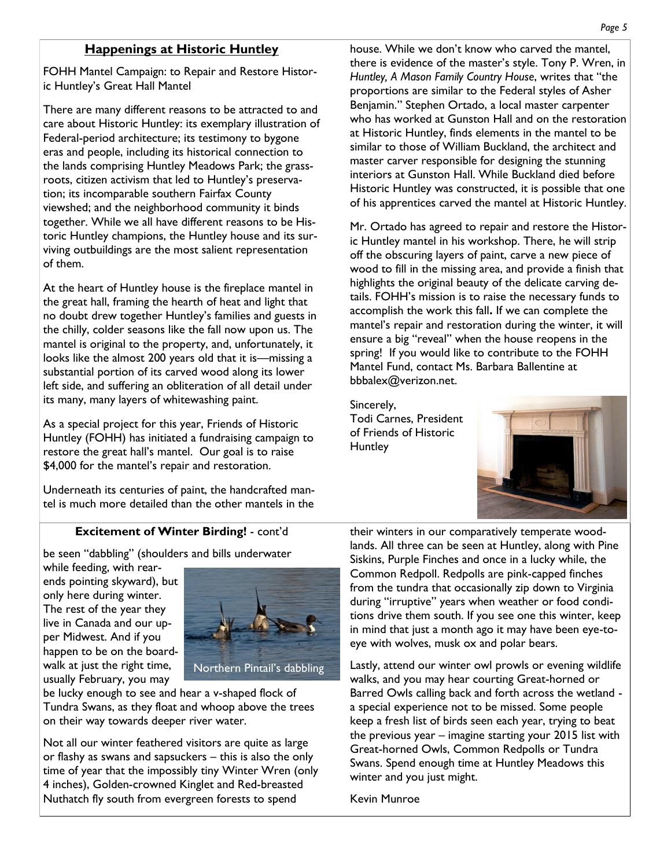# **Happenings at Historic Huntley**

FOHH Mantel Campaign: to Repair and Restore Historic Huntley's Great Hall Mantel

There are many different reasons to be attracted to and care about Historic Huntley: its exemplary illustration of Federal-period architecture; its testimony to bygone eras and people, including its historical connection to the lands comprising Huntley Meadows Park; the grassroots, citizen activism that led to Huntley's preservation; its incomparable southern Fairfax County viewshed; and the neighborhood community it binds together. While we all have different reasons to be Historic Huntley champions, the Huntley house and its surviving outbuildings are the most salient representation of them.

At the heart of Huntley house is the fireplace mantel in the great hall, framing the hearth of heat and light that no doubt drew together Huntley's families and guests in the chilly, colder seasons like the fall now upon us. The mantel is original to the property, and, unfortunately, it looks like the almost 200 years old that it is—missing a substantial portion of its carved wood along its lower left side, and suffering an obliteration of all detail under its many, many layers of whitewashing paint.

As a special project for this year, Friends of Historic Huntley (FOHH) has initiated a fundraising campaign to restore the great hall's mantel. Our goal is to raise \$4,000 for the mantel's repair and restoration.

Underneath its centuries of paint, the handcrafted mantel is much more detailed than the other mantels in the house. While we don't know who carved the mantel, there is evidence of the master's style. Tony P. Wren, in *Huntley, A Mason Family Country House*, writes that "the proportions are similar to the Federal styles of Asher Benjamin." Stephen Ortado, a local master carpenter who has worked at Gunston Hall and on the restoration at Historic Huntley, finds elements in the mantel to be similar to those of William Buckland, the architect and master carver responsible for designing the stunning interiors at Gunston Hall. While Buckland died before Historic Huntley was constructed, it is possible that one of his apprentices carved the mantel at Historic Huntley.

Mr. Ortado has agreed to repair and restore the Historic Huntley mantel in his workshop. There, he will strip off the obscuring layers of paint, carve a new piece of wood to fill in the missing area, and provide a finish that highlights the original beauty of the delicate carving details. FOHH's mission is to raise the necessary funds to accomplish the work this fall**.** If we can complete the mantel's repair and restoration during the winter, it will ensure a big "reveal" when the house reopens in the spring! If you would like to contribute to the FOHH Mantel Fund, contact Ms. Barbara Ballentine at bbbalex@verizon.net.

Sincerely, Todi Carnes, President of Friends of Historic **Huntley** 



# **Excitement of Winter Birding!** - cont'd

be seen "dabbling" (shoulders and bills underwater

while feeding, with rearends pointing skyward), but only here during winter. The rest of the year they live in Canada and our upper Midwest. And if you happen to be on the boardwalk at just the right time, usually February, you may



be lucky enough to see and hear a v-shaped flock of Tundra Swans, as they float and whoop above the trees on their way towards deeper river water.

Not all our winter feathered visitors are quite as large or flashy as swans and sapsuckers – this is also the only time of year that the impossibly tiny Winter Wren (only 4 inches), Golden-crowned Kinglet and Red-breasted Nuthatch fly south from evergreen forests to spend

their winters in our comparatively temperate woodlands. All three can be seen at Huntley, along with Pine Siskins, Purple Finches and once in a lucky while, the Common Redpoll. Redpolls are pink-capped finches from the tundra that occasionally zip down to Virginia during "irruptive" years when weather or food conditions drive them south. If you see one this winter, keep in mind that just a month ago it may have been eye-toeye with wolves, musk ox and polar bears.

Lastly, attend our winter owl prowls or evening wildlife walks, and you may hear courting Great-horned or Barred Owls calling back and forth across the wetland a special experience not to be missed. Some people keep a fresh list of birds seen each year, trying to beat the previous year – imagine starting your 2015 list with Great-horned Owls, Common Redpolls or Tundra Swans. Spend enough time at Huntley Meadows this winter and you just might.

Kevin Munroe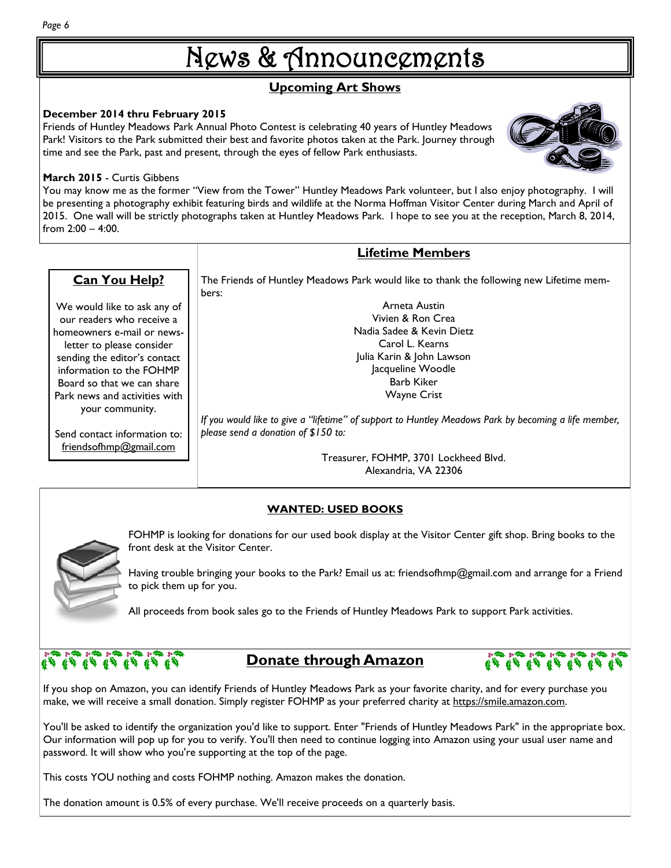# News & Announcements

# **Upcoming Art Shows**

# **December 2014 thru February 2015**

Friends of Huntley Meadows Park Annual Photo Contest is celebrating 40 years of Huntley Meadows Park! Visitors to the Park submitted their best and favorite photos taken at the Park. Journey through time and see the Park, past and present, through the eyes of fellow Park enthusiasts.

# **March 2015** - Curtis Gibbens

**Can You Help?**

We would like to ask any of our readers who receive a homeowners e-mail or newsletter to please consider sending the editor's contact information to the FOHMP Board so that we can share Park news and activities with your community.

Send contact information to: friendsofhmp@gmail.com

You may know me as the former "View from the Tower" Huntley Meadows Park volunteer, but I also enjoy photography. I will be presenting a photography exhibit featuring birds and wildlife at the Norma Hoffman Visitor Center during March and April of 2015. One wall will be strictly photographs taken at Huntley Meadows Park. I hope to see you at the reception, March 8, 2014, from 2:00 – 4:00.

# **Lifetime Members**

The Friends of Huntley Meadows Park would like to thank the following new Lifetime members:

> Arneta Austin Vivien & Ron Crea Nadia Sadee & Kevin Dietz Carol L. Kearns Julia Karin & John Lawson Jacqueline Woodle Barb Kiker Wayne Crist

*If you would like to give a "lifetime" of support to Huntley Meadows Park by becoming a life member, please send a donation of \$150 to:* 

> Treasurer, FOHMP, 3701 Lockheed Blvd. Alexandria, VA 22306

# **WANTED: USED BOOKS**

FOHMP is looking for donations for our used book display at the Visitor Center gift shop. Bring books to the front desk at the Visitor Center.

Having trouble bringing your books to the Park? Email us at: friendsofhmp@gmail.com and arrange for a Friend to pick them up for you.

All proceeds from book sales go to the Friends of Huntley Meadows Park to support Park activities.

# $\begin{picture}(16,10) \put(0,0){\line(1,0){15}} \put(0,0){\line(1,0){15}} \put(0,0){\line(1,0){15}} \put(0,0){\line(1,0){15}} \put(0,0){\line(1,0){15}} \put(0,0){\line(1,0){15}} \put(0,0){\line(1,0){15}} \put(0,0){\line(1,0){15}} \put(0,0){\line(1,0){15}} \put(0,0){\line(1,0){15}} \put(0,0){\line(1,0){15}} \put(0,0){\line(1,0){15}} \put(0,$

# **Donate through Amazon**

If you shop on Amazon, you can identify Friends of Huntley Meadows Park as your favorite charity, and for every purchase you make, we will receive a small donation. Simply register FOHMP as your preferred charity at [https://smile.amazon.com.](https://smile.amazon.com/)

You'll be asked to identify the organization you'd like to support. Enter "Friends of Huntley Meadows Park" in the appropriate box. Our information will pop up for you to verify. You'll then need to continue logging into Amazon using your usual user name and password. It will show who you're supporting at the top of the page.

This costs YOU nothing and costs FOHMP nothing. Amazon makes the donation.

The donation amount is 0.5% of every purchase. We'll receive proceeds on a quarterly basis.



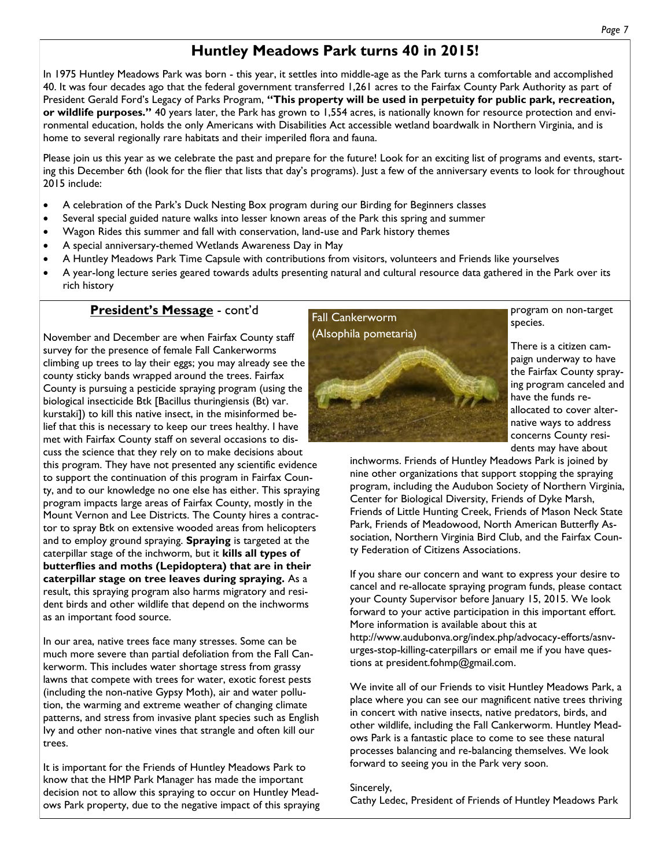# **Huntley Meadows Park turns 40 in 2015!**

In 1975 Huntley Meadows Park was born - this year, it settles into middle-age as the Park turns a comfortable and accomplished 40. It was four decades ago that the federal government transferred 1,261 acres to the Fairfax County Park Authority as part of President Gerald Ford's Legacy of Parks Program, **"This property will be used in perpetuity for public park, recreation, or wildlife purposes."** 40 years later, the Park has grown to 1,554 acres, is nationally known for resource protection and environmental education, holds the only Americans with Disabilities Act accessible wetland boardwalk in Northern Virginia, and is home to several regionally rare habitats and their imperiled flora and fauna.

Please join us this year as we celebrate the past and prepare for the future! Look for an exciting list of programs and events, starting this December 6th (look for the flier that lists that day's programs). Just a few of the anniversary events to look for throughout 2015 include:

- A celebration of the Park's Duck Nesting Box program during our Birding for Beginners classes
- Several special guided nature walks into lesser known areas of the Park this spring and summer
- Wagon Rides this summer and fall with conservation, land-use and Park history themes
- A special anniversary-themed Wetlands Awareness Day in May
- A Huntley Meadows Park Time Capsule with contributions from visitors, volunteers and Friends like yourselves
- A year-long lecture series geared towards adults presenting natural and cultural resource data gathered in the Park over its rich history

# **President's Message** - cont'd

November and December are when Fairfax County staff survey for the presence of female Fall Cankerworms climbing up trees to lay their eggs; you may already see the county sticky bands wrapped around the trees. Fairfax County is pursuing a pesticide spraying program (using the biological insecticide Btk [Bacillus thuringiensis (Bt) var. kurstaki]) to kill this native insect, in the misinformed belief that this is necessary to keep our trees healthy. I have met with Fairfax County staff on several occasions to discuss the science that they rely on to make decisions about this program. They have not presented any scientific evidence to support the continuation of this program in Fairfax County, and to our knowledge no one else has either. This spraying program impacts large areas of Fairfax County, mostly in the Mount Vernon and Lee Districts. The County hires a contractor to spray Btk on extensive wooded areas from helicopters and to employ ground spraying. **Spraying** is targeted at the caterpillar stage of the inchworm, but it **kills all types of butterflies and moths (Lepidoptera) that are in their caterpillar stage on tree leaves during spraying.** As a result, this spraying program also harms migratory and resident birds and other wildlife that depend on the inchworms as an important food source.

In our area, native trees face many stresses. Some can be much more severe than partial defoliation from the Fall Cankerworm. This includes water shortage stress from grassy lawns that compete with trees for water, exotic forest pests (including the non-native Gypsy Moth), air and water pollution, the warming and extreme weather of changing climate patterns, and stress from invasive plant species such as English Ivy and other non-native vines that strangle and often kill our trees.

It is important for the Friends of Huntley Meadows Park to know that the HMP Park Manager has made the important decision not to allow this spraying to occur on Huntley Meadows Park property, due to the negative impact of this spraying



program on non-target species.

There is a citizen campaign underway to have the Fairfax County spraying program canceled and have the funds reallocated to cover alternative ways to address concerns County residents may have about

inchworms. Friends of Huntley Meadows Park is joined by nine other organizations that support stopping the spraying program, including the Audubon Society of Northern Virginia, Center for Biological Diversity, Friends of Dyke Marsh, Friends of Little Hunting Creek, Friends of Mason Neck State Park, Friends of Meadowood, North American Butterfly Association, Northern Virginia Bird Club, and the Fairfax County Federation of Citizens Associations.

If you share our concern and want to express your desire to cancel and re-allocate spraying program funds, please contact your County Supervisor before January 15, 2015. We look forward to your active participation in this important effort. More information is available about this at http://www.audubonva.org/index.php/advocacy-efforts/asnvurges-stop-killing-caterpillars or email me if you have questions at [president.fohmp@gmail.com.](mailto:president.fohmp@gmail.com)

We invite all of our Friends to visit Huntley Meadows Park, a place where you can see our magnificent native trees thriving in concert with native insects, native predators, birds, and other wildlife, including the Fall Cankerworm. Huntley Meadows Park is a fantastic place to come to see these natural processes balancing and re-balancing themselves. We look forward to seeing you in the Park very soon.

#### Sincerely,

Cathy Ledec, President of Friends of Huntley Meadows Park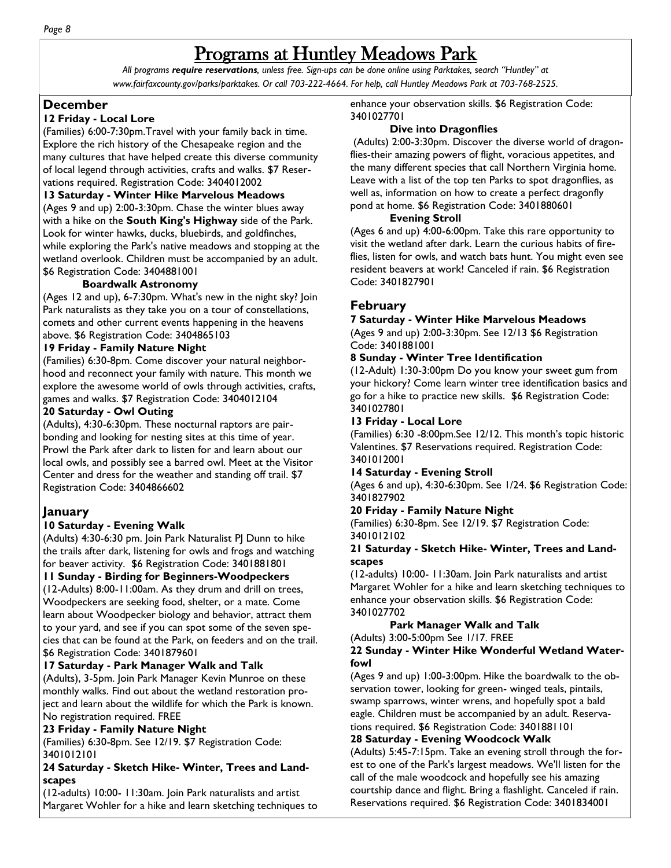# Programs at Huntley Meadows Park

*All programs require reservations, unless free. Sign-ups can be done online using Parktakes, search "Huntley" at www.fairfaxcounty.gov/parks/parktakes. Or call 703-222-4664. For help, call Huntley Meadows Park at 703-768-2525.* 

# **December**

# **12 Friday - Local Lore**

(Families) 6:00-7:30pm.Travel with your family back in time. Explore the rich history of the Chesapeake region and the many cultures that have helped create this diverse community of local legend through activities, crafts and walks. \$7 Reservations required. Registration Code: 3404012002

#### **13 Saturday - Winter Hike Marvelous Meadows**

(Ages 9 and up) 2:00-3:30pm. Chase the winter blues away with a hike on the **South King's Highway** side of the Park. Look for winter hawks, ducks, bluebirds, and goldfinches, while exploring the Park's native meadows and stopping at the wetland overlook. Children must be accompanied by an adult. \$6 Registration Code: 3404881001

# **Boardwalk Astronomy**

(Ages 12 and up), 6-7:30pm. What's new in the night sky? Join Park naturalists as they take you on a tour of constellations, comets and other current events happening in the heavens above. \$6 Registration Code: 3404865103

#### **19 Friday - Family Nature Night**

(Families) 6:30-8pm. Come discover your natural neighborhood and reconnect your family with nature. This month we explore the awesome world of owls through activities, crafts, games and walks. \$7 Registration Code: 3404012104

#### **20 Saturday - Owl Outing**

(Adults), 4:30-6:30pm. These nocturnal raptors are pairbonding and looking for nesting sites at this time of year. Prowl the Park after dark to listen for and learn about our local owls, and possibly see a barred owl. Meet at the Visitor Center and dress for the weather and standing off trail. \$7 Registration Code: 3404866602

# **January**

# **10 Saturday - Evening Walk**

(Adults) 4:30-6:30 pm. Join Park Naturalist PJ Dunn to hike the trails after dark, listening for owls and frogs and watching for beaver activity. \$6 Registration Code: 3401881801

# **11 Sunday - Birding for Beginners-Woodpeckers**

(12-Adults) 8:00-11:00am. As they drum and drill on trees, Woodpeckers are seeking food, shelter, or a mate. Come learn about Woodpecker biology and behavior, attract them to your yard, and see if you can spot some of the seven species that can be found at the Park, on feeders and on the trail. \$6 Registration Code: 3401879601

# **17 Saturday - Park Manager Walk and Talk**

(Adults), 3-5pm. Join Park Manager Kevin Munroe on these monthly walks. Find out about the wetland restoration project and learn about the wildlife for which the Park is known. No registration required. FREE

# **23 Friday - Family Nature Night**

(Families) 6:30-8pm. See 12/19. \$7 Registration Code: 3401012101

#### **24 Saturday - Sketch Hike- Winter, Trees and Landscapes**

(12-adults) 10:00- 11:30am. Join Park naturalists and artist Margaret Wohler for a hike and learn sketching techniques to enhance your observation skills. \$6 Registration Code: 3401027701

# **Dive into Dragonflies**

(Adults) 2:00-3:30pm. Discover the diverse world of dragonflies-their amazing powers of flight, voracious appetites, and the many different species that call Northern Virginia home. Leave with a list of the top ten Parks to spot dragonflies, as well as, information on how to create a perfect dragonfly pond at home. \$6 Registration Code: 3401880601

# **Evening Stroll**

(Ages 6 and up) 4:00-6:00pm. Take this rare opportunity to visit the wetland after dark. Learn the curious habits of fireflies, listen for owls, and watch bats hunt. You might even see resident beavers at work! Canceled if rain. \$6 Registration Code: 3401827901

# **February**

#### **7 Saturday - Winter Hike Marvelous Meadows**

(Ages 9 and up) 2:00-3:30pm. See 12/13 \$6 Registration Code: 3401881001

# **8 Sunday - Winter Tree Identification**

(12-Adult) 1:30-3:00pm Do you know your sweet gum from your hickory? Come learn winter tree identification basics and go for a hike to practice new skills. \$6 Registration Code: 3401027801

#### **13 Friday - Local Lore**

(Families) 6:30 -8:00pm.See 12/12. This month's topic historic Valentines. \$7 Reservations required. Registration Code: 3401012001

#### **14 Saturday - Evening Stroll**

(Ages 6 and up), 4:30-6:30pm. See 1/24. \$6 Registration Code: 3401827902

# **20 Friday - Family Nature Night**

(Families) 6:30-8pm. See 12/19. \$7 Registration Code: 3401012102

#### **21 Saturday - Sketch Hike- Winter, Trees and Landscapes**

(12-adults) 10:00- 11:30am. Join Park naturalists and artist Margaret Wohler for a hike and learn sketching techniques to enhance your observation skills. \$6 Registration Code: 3401027702

# **Park Manager Walk and Talk**

(Adults) 3:00-5:00pm See 1/17. FREE

#### **22 Sunday - Winter Hike Wonderful Wetland Waterfowl**

(Ages 9 and up) 1:00-3:00pm. Hike the boardwalk to the observation tower, looking for green- winged teals, pintails, swamp sparrows, winter wrens, and hopefully spot a bald eagle. Children must be accompanied by an adult. Reservations required. \$6 Registration Code: 3401881101

# **28 Saturday - Evening Woodcock Walk**

(Adults) 5:45-7:15pm. Take an evening stroll through the forest to one of the Park's largest meadows. We'll listen for the call of the male woodcock and hopefully see his amazing courtship dance and flight. Bring a flashlight. Canceled if rain. Reservations required. \$6 Registration Code: 3401834001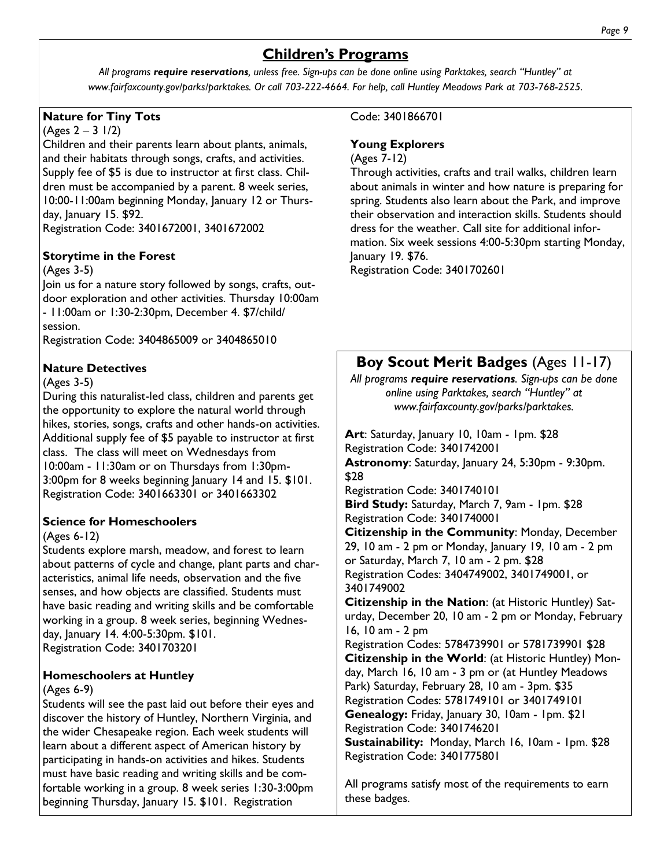# **Children's Programs**

*All programs require reservations, unless free. Sign-ups can be done online using Parktakes, search "Huntley" at www.fairfaxcounty.gov/parks/parktakes. Or call 703-222-4664. For help, call Huntley Meadows Park at 703-768-2525.* 

# **Nature for Tiny Tots**

 $(Ages 2 – 3 1/2)$ 

Children and their parents learn about plants, animals, and their habitats through songs, crafts, and activities. Supply fee of \$5 is due to instructor at first class. Children must be accompanied by a parent. 8 week series, 10:00-11:00am beginning Monday, January 12 or Thursday, January 15. \$92.

Registration Code: 3401672001, 3401672002

# **Storytime in the Forest**

# (Ages 3-5)

Join us for a nature story followed by songs, crafts, outdoor exploration and other activities. Thursday 10:00am - 11:00am or 1:30-2:30pm, December 4. \$7/child/ session.

Registration Code: 3404865009 or 3404865010

# **Nature Detectives**

# (Ages 3-5)

During this naturalist-led class, children and parents get the opportunity to explore the natural world through hikes, stories, songs, crafts and other hands-on activities. Additional supply fee of \$5 payable to instructor at first class. The class will meet on Wednesdays from 10:00am - 11:30am or on Thursdays from 1:30pm-3:00pm for 8 weeks beginning January 14 and 15. \$101. Registration Code: 3401663301 or 3401663302

# **Science for Homeschoolers**

# (Ages 6-12)

Students explore marsh, meadow, and forest to learn about patterns of cycle and change, plant parts and characteristics, animal life needs, observation and the five senses, and how objects are classified. Students must have basic reading and writing skills and be comfortable working in a group. 8 week series, beginning Wednesday, January 14. 4:00-5:30pm. \$101. Registration Code: 3401703201

# **Homeschoolers at Huntley**

# (Ages 6-9)

Students will see the past laid out before their eyes and discover the history of Huntley, Northern Virginia, and the wider Chesapeake region. Each week students will learn about a different aspect of American history by participating in hands-on activities and hikes. Students must have basic reading and writing skills and be comfortable working in a group. 8 week series 1:30-3:00pm beginning Thursday, January 15. \$101. Registration

Code: 3401866701

# **Young Explorers**

# (Ages 7-12)

Through activities, crafts and trail walks, children learn about animals in winter and how nature is preparing for spring. Students also learn about the Park, and improve their observation and interaction skills. Students should dress for the weather. Call site for additional information. Six week sessions 4:00-5:30pm starting Monday, January 19. \$76.

Registration Code: 3401702601

# **Boy Scout Merit Badges** (Ages 11-17)

*All programs require reservations. Sign-ups can be done online using Parktakes, search "Huntley" at www.fairfaxcounty.gov/parks/parktakes.* 

Art: Saturday, January 10, 10am - 1pm. \$28 Registration Code: 3401742001 **Astronomy**: Saturday, January 24, 5:30pm - 9:30pm. \$28 Registration Code: 3401740101 **Bird Study:** Saturday, March 7, 9am - 1pm. \$28 Registration Code: 3401740001 **Citizenship in the Community**: Monday, December 29, 10 am - 2 pm or Monday, January 19, 10 am - 2 pm or Saturday, March 7, 10 am - 2 pm. \$28 Registration Codes: 3404749002, 3401749001, or 3401749002 **Citizenship in the Nation**: (at Historic Huntley) Saturday, December 20, 10 am - 2 pm or Monday, February 16, 10 am - 2 pm

Registration Codes: 5784739901 or 5781739901 \$28 **Citizenship in the World**: (at Historic Huntley) Monday, March 16, 10 am - 3 pm or (at Huntley Meadows Park) Saturday, February 28, 10 am - 3pm. \$35 Registration Codes: 5781749101 or 3401749101 **Genealogy:** Friday, January 30, 10am - 1pm. \$21

Registration Code: 3401746201

**Sustainability:** Monday, March 16, 10am - 1pm. \$28 Registration Code: 3401775801

All programs satisfy most of the requirements to earn these badges.